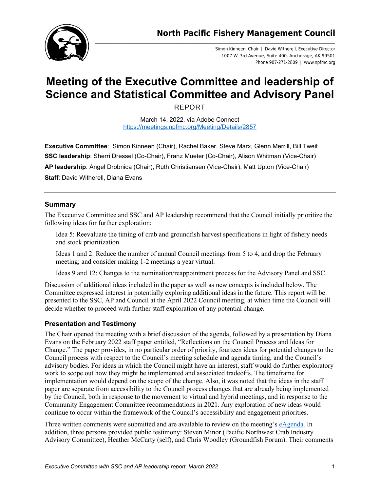

Simon Kinneen, Chair | David Witherell, Executive Director 1007 W. 3rd Avenue, Suite 400, Anchorage, AK 99501 Phone 907-271-2809 | www.npfmc.org

# **Meeting of the Executive Committee and leadership of Science and Statistical Committee and Advisory Panel**

REPORT

March 14, 2022, via Adobe Connect <https://meetings.npfmc.org/Meeting/Details/2857>

**Executive Committee**: Simon Kinneen (Chair), Rachel Baker, Steve Marx, Glenn Merrill, Bill Tweit **SSC leadership**: Sherri Dressel (Co-Chair), Franz Mueter (Co-Chair), Alison Whitman (Vice-Chair)

**AP leadership**: Angel Drobnica (Chair), Ruth Christiansen (Vice-Chair), Matt Upton (Vice-Chair)

**Staff: David Witherell, Diana Evans** 

# **Summary**

The Executive Committee and SSC and AP leadership recommend that the Council initially prioritize the following ideas for further exploration:

Idea 5: Reevaluate the timing of crab and groundfish harvest specifications in light of fishery needs and stock prioritization.

Ideas 1 and 2: Reduce the number of annual Council meetings from 5 to 4, and drop the February meeting; and consider making 1-2 meetings a year virtual.

Ideas 9 and 12: Changes to the nomination/reappointment process for the Advisory Panel and SSC.

Discussion of additional ideas included in the paper as well as new concepts is included below. The Committee expressed interest in potentially exploring additional ideas in the future. This report will be presented to the SSC, AP and Council at the April 2022 Council meeting, at which time the Council will decide whether to proceed with further staff exploration of any potential change.

# **Presentation and Testimony**

The Chair opened the meeting with a brief discussion of the agenda, followed by a presentation by Diana Evans on the February 2022 staff paper entitled, "Reflections on the Council Process and Ideas for Change." The paper provides, in no particular order of priority, fourteen ideas for potential changes to the Council process with respect to the Council's meeting schedule and agenda timing, and the Council's advisory bodies. For ideas in which the Council might have an interest, staff would do further exploratory work to scope out how they might be implemented and associated tradeoffs. The timeframe for implementation would depend on the scope of the change. Also, it was noted that the ideas in the staff paper are separate from accessibility to the Council process changes that are already being implemented by the Council, both in response to the movement to virtual and hybrid meetings, and in response to the Community Engagement Committee recommendations in 2021. Any exploration of new ideas would continue to occur within the framework of the Council's accessibility and engagement priorities.

Three written comments were submitted and are available to review on the meeting's [eAgenda.](https://meetings.npfmc.org/Meeting/Details/2857) In addition, three persons provided public testimony: Steven Minor (Pacific Northwest Crab Industry Advisory Committee), Heather McCarty (self), and Chris Woodley (Groundfish Forum). Their comments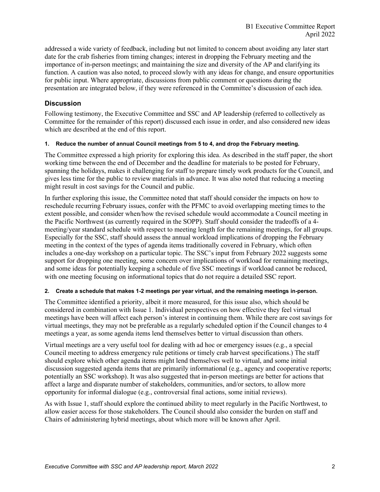addressed a wide variety of feedback, including but not limited to concern about avoiding any later start date for the crab fisheries from timing changes; interest in dropping the February meeting and the importance of in-person meetings; and maintaining the size and diversity of the AP and clarifying its function. A caution was also noted, to proceed slowly with any ideas for change, and ensure opportunities for public input. Where appropriate, discussions from public comment or questions during the presentation are integrated below, if they were referenced in the Committee's discussion of each idea.

# **Discussion**

Following testimony, the Executive Committee and SSC and AP leadership (referred to collectively as Committee for the remainder of this report) discussed each issue in order, and also considered new ideas which are described at the end of this report.

# **1. Reduce the number of annual Council meetings from 5 to 4, and drop the February meeting.**

The Committee expressed a high priority for exploring this idea. As described in the staff paper, the short working time between the end of December and the deadline for materials to be posted for February, spanning the holidays, makes it challenging for staff to prepare timely work products for the Council, and gives less time for the public to review materials in advance. It was also noted that reducing a meeting might result in cost savings for the Council and public.

In further exploring this issue, the Committee noted that staff should consider the impacts on how to reschedule recurring February issues, confer with the PFMC to avoid overlapping meeting times to the extent possible, and consider when/how the revised schedule would accommodate a Council meeting in the Pacific Northwest (as currently required in the SOPP). Staff should consider the tradeoffs of a 4 meeting/year standard schedule with respect to meeting length for the remaining meetings, for all groups. Especially for the SSC, staff should assess the annual workload implications of dropping the February meeting in the context of the types of agenda items traditionally covered in February, which often includes a one-day workshop on a particular topic. The SSC's input from February 2022 suggests some support for dropping one meeting, some concern over implications of workload for remaining meetings, and some ideas for potentially keeping a schedule of five SSC meetings if workload cannot be reduced, with one meeting focusing on informational topics that do not require a detailed SSC report.

# **2. Create a schedule that makes 1-2 meetings per year virtual, and the remaining meetings in-person.**

The Committee identified a priority, albeit it more measured, for this issue also, which should be considered in combination with Issue 1. Individual perspectives on how effective they feel virtual meetings have been will affect each person's interest in continuing them. While there are cost savings for virtual meetings, they may not be preferable as a regularly scheduled option if the Council changes to 4 meetings a year, as some agenda items lend themselves better to virtual discussion than others.

Virtual meetings are a very useful tool for dealing with ad hoc or emergency issues (e.g., a special Council meeting to address emergency rule petitions or timely crab harvest specifications.) The staff should explore which other agenda items might lend themselves well to virtual, and some initial discussion suggested agenda items that are primarily informational (e.g., agency and cooperative reports; potentially an SSC workshop). It was also suggested that in-person meetings are better for actions that affect a large and disparate number of stakeholders, communities, and/or sectors, to allow more opportunity for informal dialogue (e.g., controversial final actions, some initial reviews).

As with Issue 1, staff should explore the continued ability to meet regularly in the Pacific Northwest, to allow easier access for those stakeholders. The Council should also consider the burden on staff and Chairs of administering hybrid meetings, about which more will be known after April.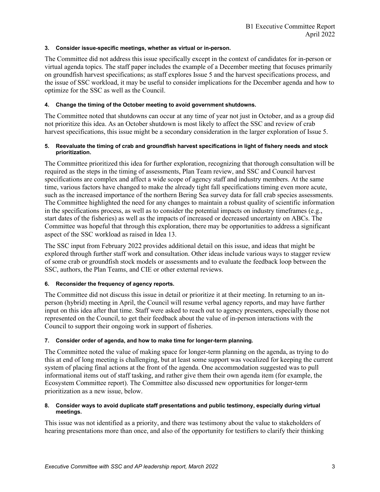### **3. Consider issue-specific meetings, whether as virtual or in-person.**

The Committee did not address this issue specifically except in the context of candidates for in-person or virtual agenda topics. The staff paper includes the example of a December meeting that focuses primarily on groundfish harvest specifications; as staff explores Issue 5 and the harvest specifications process, and the issue of SSC workload, it may be useful to consider implications for the December agenda and how to optimize for the SSC as well as the Council.

# **4. Change the timing of the October meeting to avoid government shutdowns.**

The Committee noted that shutdowns can occur at any time of year not just in October, and as a group did not prioritize this idea. As an October shutdown is most likely to affect the SSC and review of crab harvest specifications, this issue might be a secondary consideration in the larger exploration of Issue 5.

#### **5. Reevaluate the timing of crab and groundfish harvest specifications in light of fishery needs and stock prioritization.**

The Committee prioritized this idea for further exploration, recognizing that thorough consultation will be required as the steps in the timing of assessments, Plan Team review, and SSC and Council harvest specifications are complex and affect a wide scope of agency staff and industry members. At the same time, various factors have changed to make the already tight fall specifications timing even more acute, such as the increased importance of the northern Bering Sea survey data for fall crab species assessments. The Committee highlighted the need for any changes to maintain a robust quality of scientific information in the specifications process, as well as to consider the potential impacts on industry timeframes (e.g., start dates of the fisheries) as well as the impacts of increased or decreased uncertainty on ABCs. The Committee was hopeful that through this exploration, there may be opportunities to address a significant aspect of the SSC workload as raised in Idea 13.

The SSC input from February 2022 provides additional detail on this issue, and ideas that might be explored through further staff work and consultation. Other ideas include various ways to stagger review of some crab or groundfish stock models or assessments and to evaluate the feedback loop between the SSC, authors, the Plan Teams, and CIE or other external reviews.

# **6. Reconsider the frequency of agency reports.**

The Committee did not discuss this issue in detail or prioritize it at their meeting. In returning to an inperson (hybrid) meeting in April, the Council will resume verbal agency reports, and may have further input on this idea after that time. Staff were asked to reach out to agency presenters, especially those not represented on the Council, to get their feedback about the value of in-person interactions with the Council to support their ongoing work in support of fisheries.

#### **7. Consider order of agenda, and how to make time for longer-term planning.**

The Committee noted the value of making space for longer-term planning on the agenda, as trying to do this at end of long meeting is challenging, but at least some support was vocalized for keeping the current system of placing final actions at the front of the agenda. One accommodation suggested was to pull informational items out of staff tasking, and rather give them their own agenda item (for example, the Ecosystem Committee report). The Committee also discussed new opportunities for longer-term prioritization as a new issue, below.

#### **8. Consider ways to avoid duplicate staff presentations and public testimony, especially during virtual meetings.**

This issue was not identified as a priority, and there was testimony about the value to stakeholders of hearing presentations more than once, and also of the opportunity for testifiers to clarify their thinking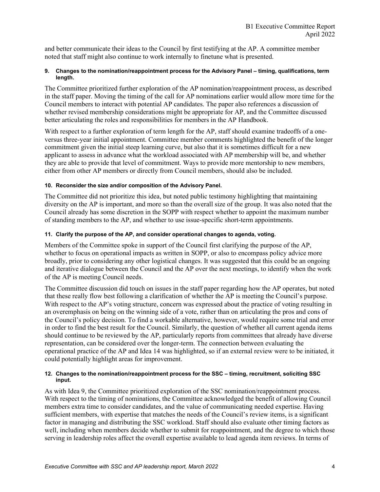and better communicate their ideas to the Council by first testifying at the AP. A committee member noted that staff might also continue to work internally to finetune what is presented.

# **9. Changes to the nomination/reappointment process for the Advisory Panel – timing, qualifications, term length.**

The Committee prioritized further exploration of the AP nomination/reappointment process, as described in the staff paper. Moving the timing of the call for AP nominations earlier would allow more time for the Council members to interact with potential AP candidates. The paper also references a discussion of whether revised membership considerations might be appropriate for AP, and the Committee discussed better articulating the roles and responsibilities for members in the AP Handbook.

With respect to a further exploration of term length for the AP, staff should examine tradeoffs of a oneversus three-year initial appointment. Committee member comments highlighted the benefit of the longer commitment given the initial steep learning curve, but also that it is sometimes difficult for a new applicant to assess in advance what the workload associated with AP membership will be, and whether they are able to provide that level of commitment. Ways to provide more mentorship to new members, either from other AP members or directly from Council members, should also be included.

# **10. Reconsider the size and/or composition of the Advisory Panel.**

The Committee did not prioritize this idea, but noted public testimony highlighting that maintaining diversity on the AP is important, and more so than the overall size of the group. It was also noted that the Council already has some discretion in the SOPP with respect whether to appoint the maximum number of standing members to the AP, and whether to use issue-specific short-term appointments.

# **11. Clarify the purpose of the AP, and consider operational changes to agenda, voting.**

Members of the Committee spoke in support of the Council first clarifying the purpose of the AP, whether to focus on operational impacts as written in SOPP, or also to encompass policy advice more broadly, prior to considering any other logistical changes. It was suggested that this could be an ongoing and iterative dialogue between the Council and the AP over the next meetings, to identify when the work of the AP is meeting Council needs.

The Committee discussion did touch on issues in the staff paper regarding how the AP operates, but noted that these really flow best following a clarification of whether the AP is meeting the Council's purpose. With respect to the AP's voting structure, concern was expressed about the practice of voting resulting in an overemphasis on being on the winning side of a vote, rather than on articulating the pros and cons of the Council's policy decision. To find a workable alternative, however, would require some trial and error in order to find the best result for the Council. Similarly, the question of whether all current agenda items should continue to be reviewed by the AP, particularly reports from committees that already have diverse representation, can be considered over the longer-term. The connection between evaluating the operational practice of the AP and Idea 14 was highlighted, so if an external review were to be initiated, it could potentially highlight areas for improvement.

#### **12. Changes to the nomination/reappointment process for the SSC – timing, recruitment, soliciting SSC input.**

As with Idea 9, the Committee prioritized exploration of the SSC nomination/reappointment process. With respect to the timing of nominations, the Committee acknowledged the benefit of allowing Council members extra time to consider candidates, and the value of communicating needed expertise. Having sufficient members, with expertise that matches the needs of the Council's review items, is a significant factor in managing and distributing the SSC workload. Staff should also evaluate other timing factors as well, including when members decide whether to submit for reappointment, and the degree to which those serving in leadership roles affect the overall expertise available to lead agenda item reviews. In terms of